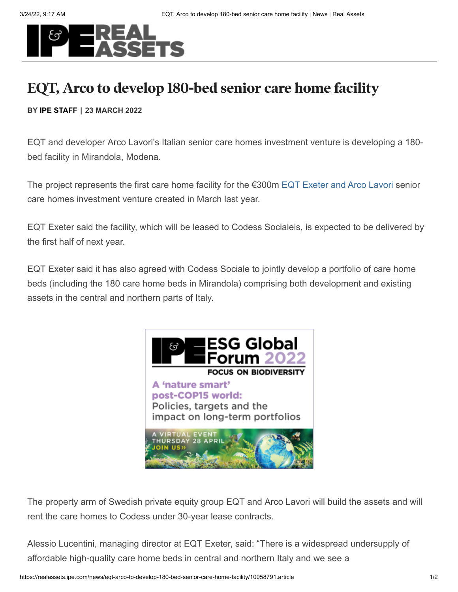

## **EQT, Arco to develop 180-bed senior care home facility**

## **BY IPE STAFF | 23 MARCH 2022**

EQT and developer Arco Lavori's Italian senior care homes investment venture is developing a 180 bed facility in Mirandola, Modena.

The project represents the first care home facility for the €300m EQT Exeter and [Arco Lavori](https://realassets.ipe.com/news/eqt-real-estate-marks-entry-into-italy-with-senior-care-homes-jv/10051886.article) senior care homes investment venture created in March last year.

EQT Exeter said the facility, which will be leased to Codess Socialeis, is expected to be delivered by the first half of next year.

EQT Exeter said it has also agreed with Codess Sociale to jointly develop a portfolio of care home beds (including the 180 care home beds in Mirandola) comprising both development and existing assets in the central and northern parts of Italy.



The property arm of Swedish private equity group EQT and Arco Lavori will build the assets and will rent the care homes to Codess under 30-year lease contracts.

Alessio Lucentini, managing director at EQT Exeter, said: "There is a widespread undersupply of affordable high-quality care home beds in central and northern Italy and we see a